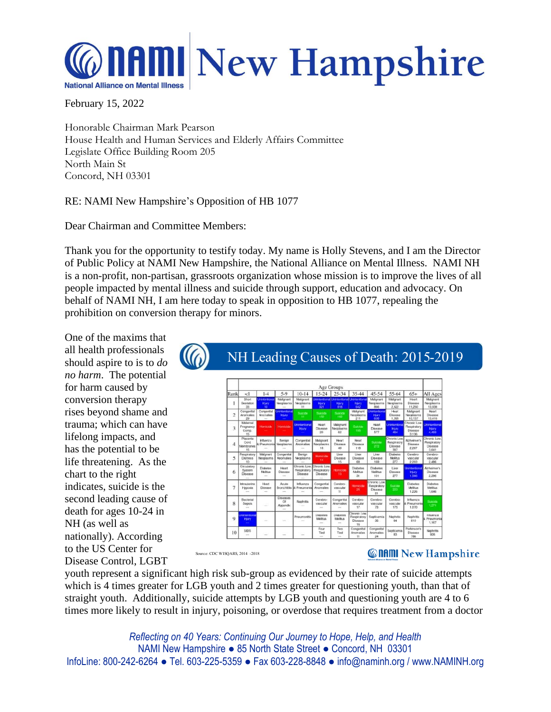

February 15, 2022

Honorable Chairman Mark Pearson House Health and Human Services and Elderly Affairs Committee Legislate Office Building Room 205 North Main St Concord, NH 03301

## RE: NAMI New Hampshire's Opposition of HB 1077

Dear Chairman and Committee Members:

Thank you for the opportunity to testify today. My name is Holly Stevens, and I am the Director of Public Policy at NAMI New Hampshire, the National Alliance on Mental Illness. NAMI NH is a non-profit, non-partisan, grassroots organization whose mission is to improve the lives of all people impacted by mental illness and suicide through support, education and advocacy. On behalf of NAMI NH, I am here today to speak in opposition to HB 1077, repealing the prohibition on conversion therapy for minors.

One of the maxims that all health professionals should aspire to is to *do no harm*. The potential for harm caused by conversion therapy rises beyond shame and trauma; which can have lifelong impacts, and has the potential to be life threatening. As the chart to the right indicates, suicide is the second leading cause of death for ages 10-24 in NH (as well as nationally). According to the US Center for Disease Control, LGBT

## NH Leading Causes of Death: 2015-2019 Age Groups<br>| 10-14 | 15-24 | 25-34 | 35-44 | 45-54  $\overline{c}$  $\overline{\mathbf{5}}$ Heat<br>Disease Diabetes<br>Melitus  $\ddot{\theta}$ trauteri<br>Hypoe Heart<br>Disease  $\overline{1}$ Disease<br>Of<br>Append Bacter<br>Sepsi Napřetín Diabetes<br>Malitus  $\mathbf{1}$

Source: CDC WISOARS, 2014 -2018

## **Connul New Hampshire**

youth represent a significant high risk sub-group as evidenced by their rate of suicide attempts which is 4 times greater for LGB youth and 2 times greater for questioning youth, than that of straight youth. Additionally, suicide attempts by LGB youth and questioning youth are 4 to 6 times more likely to result in injury, poisoning, or overdose that requires treatment from a doctor

*Reflecting on 40 Years: Continuing Our Journey to Hope, Help, and Health* NAMI New Hampshire ● 85 North State Street ● Concord, NH 03301 InfoLine: 800-242-6264 ● Tel. 603-225-5359 ● Fax 603-228-8848 ● info@naminh.org / www.NAMINH.org